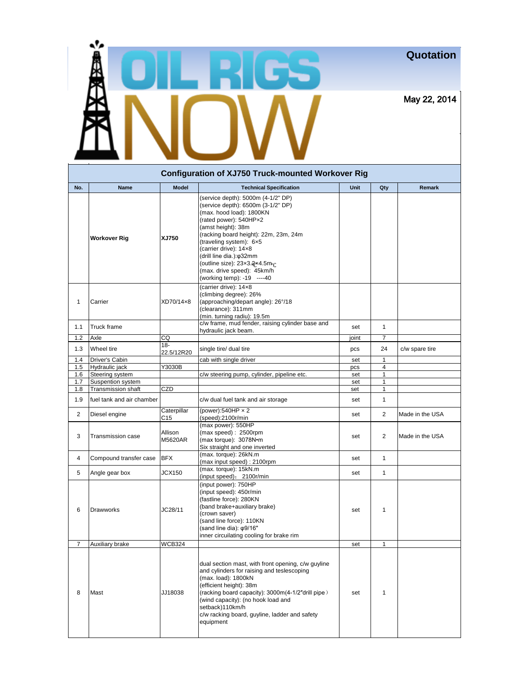## **Quotation**

May 22, 2014

| <b>Configuration of XJ750 Truck-mounted Workover Rig</b> |                           |                      |                                                                                                                                                                                                                                                                                                                                                                                     |       |                         |                 |  |  |  |
|----------------------------------------------------------|---------------------------|----------------------|-------------------------------------------------------------------------------------------------------------------------------------------------------------------------------------------------------------------------------------------------------------------------------------------------------------------------------------------------------------------------------------|-------|-------------------------|-----------------|--|--|--|
| No.                                                      | Name                      | <b>Model</b>         | <b>Technical Specification</b>                                                                                                                                                                                                                                                                                                                                                      | Unit  | Qty                     | <b>Remark</b>   |  |  |  |
|                                                          | <b>Workover Rig</b>       | XJ750                | (service depth): 5000m (4-1/2" DP)<br>(service depth): 6500m (3-1/2" DP)<br>(max. hood load): 1800KN<br>(rated power): 540HPx2<br>(amst height): 38m<br>(racking board height): 22m, 23m, 24m<br>(traveling system): 6x5<br>(carrier drive): 14x8<br>(drill line dia.): $\varphi$ 32mm<br>(outline size): 23x3.2x4.5mor<br>(max. drive speed): 45km/h<br>(working temp): -19 ----40 |       |                         |                 |  |  |  |
| 1                                                        | Carrier                   | XD70/14x8            | (carrier drive): 14x8<br>(climbing degree): 26%<br>(approaching/depart angle): 26°/18<br>(clearance): 311mm<br>(min. turning radiu): 19.5m                                                                                                                                                                                                                                          |       |                         |                 |  |  |  |
| 1.1                                                      | Truck frame               |                      | c/w frame, mud fender, raising cylinder base and<br>hydraulic jack beam.                                                                                                                                                                                                                                                                                                            | set   | 1                       |                 |  |  |  |
| 1.2                                                      | Axle                      | CQ                   |                                                                                                                                                                                                                                                                                                                                                                                     | joint | 7                       |                 |  |  |  |
| 1.3                                                      | Wheel tire                | $18 -$<br>22.5/12R20 | single tire/ dual tire                                                                                                                                                                                                                                                                                                                                                              | pcs   | 24                      | c/w spare tire  |  |  |  |
| 1.4                                                      | Driver's Cabin            |                      | cab with single driver                                                                                                                                                                                                                                                                                                                                                              | set   | 1                       |                 |  |  |  |
| 1.5                                                      | Hydraulic jack            | Y3030B               |                                                                                                                                                                                                                                                                                                                                                                                     | pcs   | 4                       |                 |  |  |  |
| 1.6                                                      | Steering system           |                      | c/w steering pump, cylinder, pipeline etc.                                                                                                                                                                                                                                                                                                                                          | set   | 1                       |                 |  |  |  |
| 1.7                                                      | Suspention system         |                      |                                                                                                                                                                                                                                                                                                                                                                                     | set   | 1                       |                 |  |  |  |
| 1.8                                                      | <b>Transmission shaft</b> | CZD                  |                                                                                                                                                                                                                                                                                                                                                                                     | set   | 1                       |                 |  |  |  |
| 1.9                                                      | fuel tank and air chamber |                      | c/w dual fuel tank and air storage                                                                                                                                                                                                                                                                                                                                                  | set   | 1                       |                 |  |  |  |
| 2                                                        | Diesel engine             | Caterpillar<br>C15   | (power):540HP $\times$ 2<br>(speed):2100r/min                                                                                                                                                                                                                                                                                                                                       | set   | $\overline{\mathbf{c}}$ | Made in the USA |  |  |  |
| 3                                                        | <b>Transmission case</b>  | Allison<br>M5620AR   | (max power): 550HP<br>(max speed): 2500rpm<br>(max torque): 3078N·m<br>Six straight and one inverted                                                                                                                                                                                                                                                                                | set   | $\overline{2}$          | Made in the USA |  |  |  |
| 4                                                        | Compound transfer case    | <b>BFX</b>           | (max. torque): 26kN.m<br>(max input speed): 2100rpm                                                                                                                                                                                                                                                                                                                                 | set   | $\mathbf{1}$            |                 |  |  |  |
| 5                                                        | Angle gear box            | JCX150               | (max. torque): 15kN.m<br>(input speed): 2100r/min                                                                                                                                                                                                                                                                                                                                   | set   | $\mathbf{1}$            |                 |  |  |  |
| 6                                                        | <b>Drawworks</b>          | JC28/11              | (input power): 750HP<br>(input speed): 450r/min<br>(fastline force): 280KN<br>(band brake+auxiliary brake)<br>(crown saver)<br>(sand line force): 110KN<br>(sand line dia): $\phi$ 9/16"<br>inner circuilating cooling for brake rim                                                                                                                                                | set   | 1                       |                 |  |  |  |
| $\overline{7}$                                           | Auxiliary brake           | <b>WCB324</b>        |                                                                                                                                                                                                                                                                                                                                                                                     | set   | 1                       |                 |  |  |  |
| 8                                                        | Mast                      | JJ18038              | dual section mast, with front opening, c/w guyline<br>and cylinders for raising and teslescoping<br>(max. load): 1800kN<br>(efficient height): 38m<br>(racking board capacity): 3000m(4-1/2"drill pipe)<br>(wind capacity): (no hook load and<br>setback)110km/h<br>c/w racking board, guyline, ladder and safety<br>equipment                                                      | set   | 1                       |                 |  |  |  |

18325 Waterview Parkway, Suite A100

**Michael Mulkern Glenn Resources mpmulkern@gmail.com**

 $\blacksquare$ 

**JD Rig & Supplies, Inc.**

Dallas, Texas 75252

\*風景

**To**